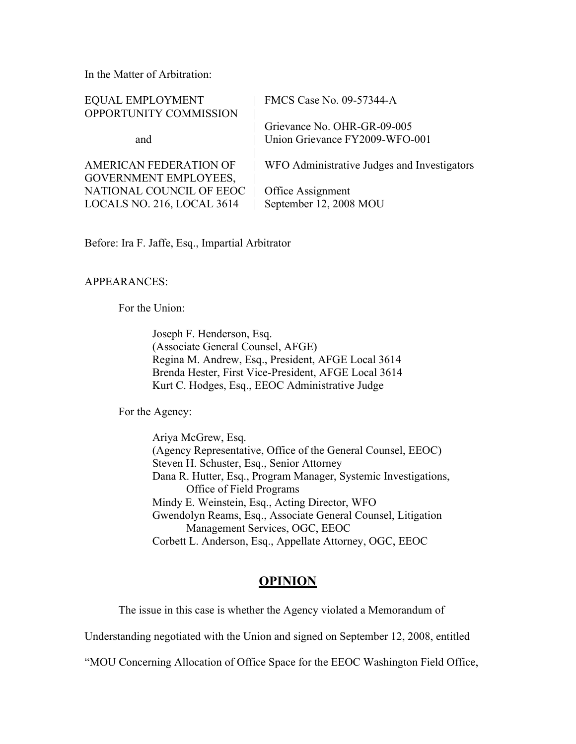In the Matter of Arbitration:

| <b>EQUAL EMPLOYMENT</b>       | FMCS Case No. 09-57344-A                    |
|-------------------------------|---------------------------------------------|
| OPPORTUNITY COMMISSION        |                                             |
|                               | Grievance No. OHR-GR-09-005                 |
| and                           | Union Grievance FY2009-WFO-001              |
| <b>AMERICAN FEDERATION OF</b> | WFO Administrative Judges and Investigators |
| <b>GOVERNMENT EMPLOYEES,</b>  |                                             |
| NATIONAL COUNCIL OF EEOC      | Office Assignment                           |
| LOCALS NO. 216, LOCAL 3614    | September 12, 2008 MOU                      |
|                               |                                             |

Before: Ira F. Jaffe, Esq., Impartial Arbitrator

## APPEARANCES:

For the Union:

Joseph F. Henderson, Esq. (Associate General Counsel, AFGE) Regina M. Andrew, Esq., President, AFGE Local 3614 Brenda Hester, First Vice-President, AFGE Local 3614 Kurt C. Hodges, Esq., EEOC Administrative Judge

For the Agency:

Ariya McGrew, Esq. (Agency Representative, Office of the General Counsel, EEOC) Steven H. Schuster, Esq., Senior Attorney Dana R. Hutter, Esq., Program Manager, Systemic Investigations, Office of Field Programs Mindy E. Weinstein, Esq., Acting Director, WFO Gwendolyn Reams, Esq., Associate General Counsel, Litigation Management Services, OGC, EEOC Corbett L. Anderson, Esq., Appellate Attorney, OGC, EEOC

# **OPINION**

The issue in this case is whether the Agency violated a Memorandum of

Understanding negotiated with the Union and signed on September 12, 2008, entitled

"MOU Concerning Allocation of Office Space for the EEOC Washington Field Office,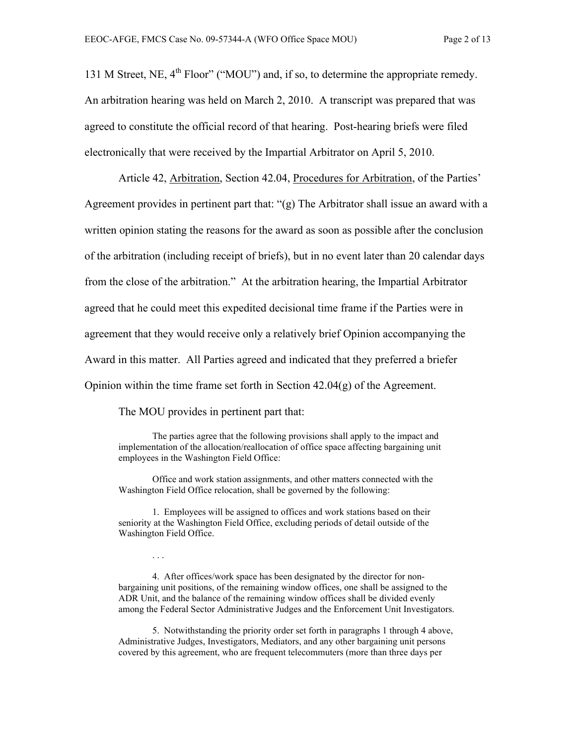131 M Street, NE,  $4^{th}$  Floor" ("MOU") and, if so, to determine the appropriate remedy. An arbitration hearing was held on March 2, 2010. A transcript was prepared that was agreed to constitute the official record of that hearing. Post-hearing briefs were filed electronically that were received by the Impartial Arbitrator on April 5, 2010.

Article 42, Arbitration, Section 42.04, Procedures for Arbitration, of the Parties' Agreement provides in pertinent part that: "(g) The Arbitrator shall issue an award with a written opinion stating the reasons for the award as soon as possible after the conclusion of the arbitration (including receipt of briefs), but in no event later than 20 calendar days from the close of the arbitration." At the arbitration hearing, the Impartial Arbitrator agreed that he could meet this expedited decisional time frame if the Parties were in agreement that they would receive only a relatively brief Opinion accompanying the Award in this matter. All Parties agreed and indicated that they preferred a briefer Opinion within the time frame set forth in Section 42.04(g) of the Agreement.

The MOU provides in pertinent part that:

. . .

The parties agree that the following provisions shall apply to the impact and implementation of the allocation/reallocation of office space affecting bargaining unit employees in the Washington Field Office:

Office and work station assignments, and other matters connected with the Washington Field Office relocation, shall be governed by the following:

1. Employees will be assigned to offices and work stations based on their seniority at the Washington Field Office, excluding periods of detail outside of the Washington Field Office.

4. After offices/work space has been designated by the director for nonbargaining unit positions, of the remaining window offices, one shall be assigned to the ADR Unit, and the balance of the remaining window offices shall be divided evenly among the Federal Sector Administrative Judges and the Enforcement Unit Investigators.

5. Notwithstanding the priority order set forth in paragraphs 1 through 4 above, Administrative Judges, Investigators, Mediators, and any other bargaining unit persons covered by this agreement, who are frequent telecommuters (more than three days per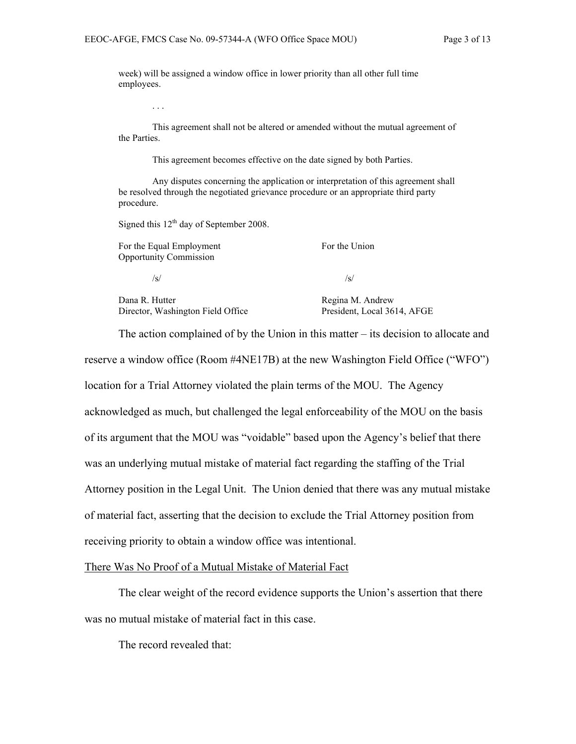week) will be assigned a window office in lower priority than all other full time employees.

. . .

This agreement shall not be altered or amended without the mutual agreement of the Parties.

This agreement becomes effective on the date signed by both Parties.

Any disputes concerning the application or interpretation of this agreement shall be resolved through the negotiated grievance procedure or an appropriate third party procedure.

Signed this  $12<sup>th</sup>$  day of September 2008.

| For the Equal Employment<br><b>Opportunity Commission</b> | For the Union    |
|-----------------------------------------------------------|------------------|
| /s/                                                       | /s/              |
| Dana R. Hutter                                            | Regina M. Andrew |

Director, Washington Field Office President, Local 3614, AFGE

The action complained of by the Union in this matter – its decision to allocate and reserve a window office (Room #4NE17B) at the new Washington Field Office ("WFO") location for a Trial Attorney violated the plain terms of the MOU. The Agency acknowledged as much, but challenged the legal enforceability of the MOU on the basis of its argument that the MOU was "voidable" based upon the Agency's belief that there was an underlying mutual mistake of material fact regarding the staffing of the Trial Attorney position in the Legal Unit. The Union denied that there was any mutual mistake of material fact, asserting that the decision to exclude the Trial Attorney position from receiving priority to obtain a window office was intentional.

#### There Was No Proof of a Mutual Mistake of Material Fact

The clear weight of the record evidence supports the Union's assertion that there was no mutual mistake of material fact in this case.

The record revealed that: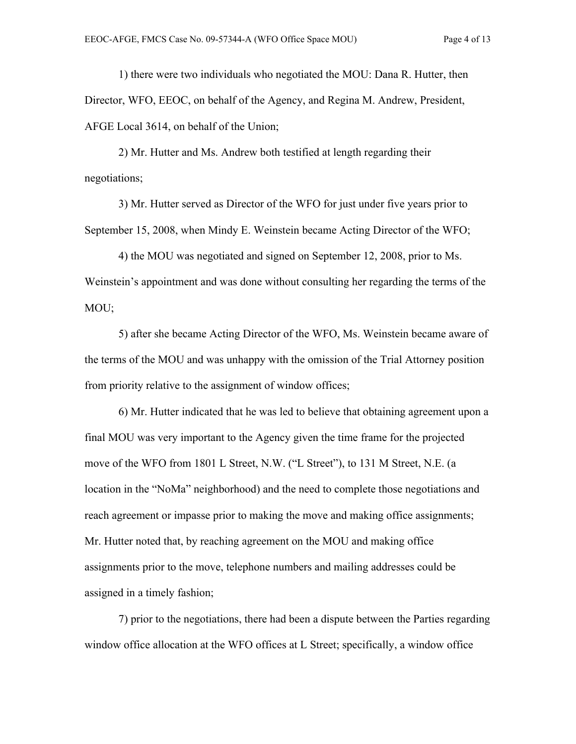1) there were two individuals who negotiated the MOU: Dana R. Hutter, then Director, WFO, EEOC, on behalf of the Agency, and Regina M. Andrew, President, AFGE Local 3614, on behalf of the Union;

2) Mr. Hutter and Ms. Andrew both testified at length regarding their negotiations;

3) Mr. Hutter served as Director of the WFO for just under five years prior to September 15, 2008, when Mindy E. Weinstein became Acting Director of the WFO;

4) the MOU was negotiated and signed on September 12, 2008, prior to Ms. Weinstein's appointment and was done without consulting her regarding the terms of the MOU;

5) after she became Acting Director of the WFO, Ms. Weinstein became aware of the terms of the MOU and was unhappy with the omission of the Trial Attorney position from priority relative to the assignment of window offices;

6) Mr. Hutter indicated that he was led to believe that obtaining agreement upon a final MOU was very important to the Agency given the time frame for the projected move of the WFO from 1801 L Street, N.W. ("L Street"), to 131 M Street, N.E. (a location in the "NoMa" neighborhood) and the need to complete those negotiations and reach agreement or impasse prior to making the move and making office assignments; Mr. Hutter noted that, by reaching agreement on the MOU and making office assignments prior to the move, telephone numbers and mailing addresses could be assigned in a timely fashion;

7) prior to the negotiations, there had been a dispute between the Parties regarding window office allocation at the WFO offices at L Street; specifically, a window office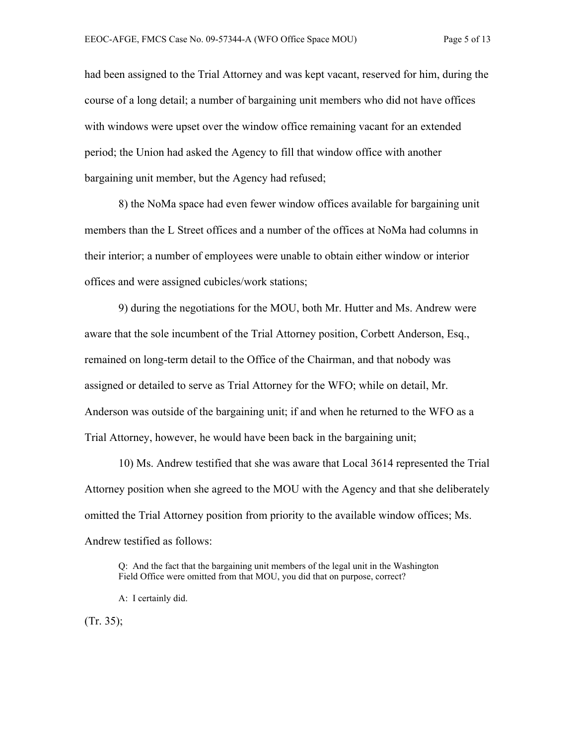had been assigned to the Trial Attorney and was kept vacant, reserved for him, during the course of a long detail; a number of bargaining unit members who did not have offices with windows were upset over the window office remaining vacant for an extended period; the Union had asked the Agency to fill that window office with another bargaining unit member, but the Agency had refused;

8) the NoMa space had even fewer window offices available for bargaining unit members than the L Street offices and a number of the offices at NoMa had columns in their interior; a number of employees were unable to obtain either window or interior offices and were assigned cubicles/work stations;

9) during the negotiations for the MOU, both Mr. Hutter and Ms. Andrew were aware that the sole incumbent of the Trial Attorney position, Corbett Anderson, Esq., remained on long-term detail to the Office of the Chairman, and that nobody was assigned or detailed to serve as Trial Attorney for the WFO; while on detail, Mr. Anderson was outside of the bargaining unit; if and when he returned to the WFO as a Trial Attorney, however, he would have been back in the bargaining unit;

10) Ms. Andrew testified that she was aware that Local 3614 represented the Trial Attorney position when she agreed to the MOU with the Agency and that she deliberately omitted the Trial Attorney position from priority to the available window offices; Ms. Andrew testified as follows:

Q: And the fact that the bargaining unit members of the legal unit in the Washington Field Office were omitted from that MOU, you did that on purpose, correct?

(Tr. 35);

A: I certainly did.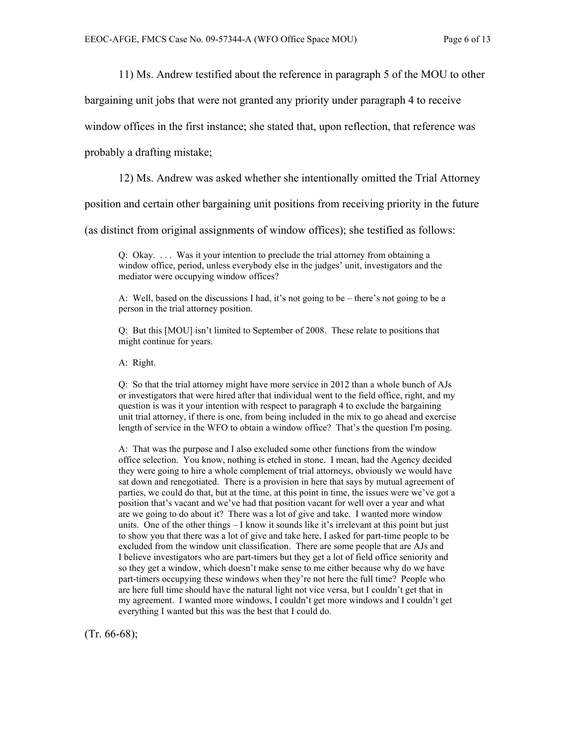11) Ms. Andrew testified about the reference in paragraph 5 of the MOU to other

bargaining unit jobs that were not granted any priority under paragraph 4 to receive

window offices in the first instance; she stated that, upon reflection, that reference was

probably a drafting mistake;

12) Ms. Andrew was asked whether she intentionally omitted the Trial Attorney

position and certain other bargaining unit positions from receiving priority in the future

(as distinct from original assignments of window offices); she testified as follows:

Q: Okay. . . . Was it your intention to preclude the trial attorney from obtaining a window office, period, unless everybody else in the judges' unit, investigators and the mediator were occupying window offices?

A: Well, based on the discussions I had, it's not going to be – there's not going to be a person in the trial attorney position.

Q: But this [MOU] isn't limited to September of 2008. These relate to positions that might continue for years.

A: Right.

Q: So that the trial attorney might have more service in 2012 than a whole bunch of AJs or investigators that were hired after that individual went to the field office, right, and my question is was it your intention with respect to paragraph 4 to exclude the bargaining unit trial attorney, if there is one, from being included in the mix to go ahead and exercise length of service in the WFO to obtain a window office? That's the question I'm posing.

A: That was the purpose and I also excluded some other functions from the window office selection. You know, nothing is etched in stone. I mean, had the Agency decided they were going to hire a whole complement of trial attorneys, obviously we would have sat down and renegotiated. There is a provision in here that says by mutual agreement of parties, we could do that, but at the time, at this point in time, the issues were we've got a position that's vacant and we've had that position vacant for well over a year and what are we going to do about it? There was a lot of give and take. I wanted more window units. One of the other things – I know it sounds like it's irrelevant at this point but just to show you that there was a lot of give and take here, I asked for part-time people to be excluded from the window unit classification. There are some people that are AJs and I believe investigators who are part-timers but they get a lot of field office seniority and so they get a window, which doesn't make sense to me either because why do we have part-timers occupying these windows when they're not here the full time? People who are here full time should have the natural light not vice versa, but I couldn't get that in my agreement. I wanted more windows, I couldn't get more windows and I couldn't get everything I wanted but this was the best that I could do.

 $(Tr. 66-68);$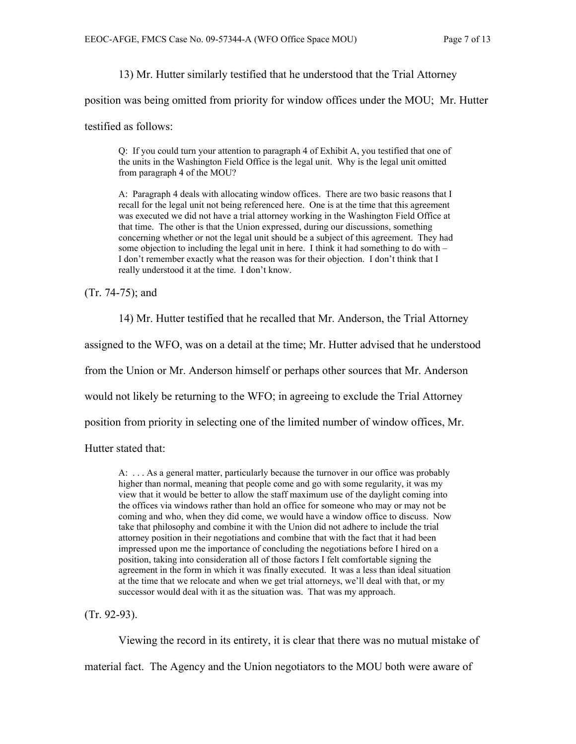13) Mr. Hutter similarly testified that he understood that the Trial Attorney

position was being omitted from priority for window offices under the MOU; Mr. Hutter

testified as follows:

Q: If you could turn your attention to paragraph 4 of Exhibit A, you testified that one of the units in the Washington Field Office is the legal unit. Why is the legal unit omitted from paragraph 4 of the MOU?

A: Paragraph 4 deals with allocating window offices. There are two basic reasons that I recall for the legal unit not being referenced here. One is at the time that this agreement was executed we did not have a trial attorney working in the Washington Field Office at that time. The other is that the Union expressed, during our discussions, something concerning whether or not the legal unit should be a subject of this agreement. They had some objection to including the legal unit in here. I think it had something to do with – I don't remember exactly what the reason was for their objection. I don't think that I really understood it at the time. I don't know.

(Tr. 74-75); and

14) Mr. Hutter testified that he recalled that Mr. Anderson, the Trial Attorney

assigned to the WFO, was on a detail at the time; Mr. Hutter advised that he understood

from the Union or Mr. Anderson himself or perhaps other sources that Mr. Anderson

would not likely be returning to the WFO; in agreeing to exclude the Trial Attorney

position from priority in selecting one of the limited number of window offices, Mr.

Hutter stated that:

A: . . . As a general matter, particularly because the turnover in our office was probably higher than normal, meaning that people come and go with some regularity, it was my view that it would be better to allow the staff maximum use of the daylight coming into the offices via windows rather than hold an office for someone who may or may not be coming and who, when they did come, we would have a window office to discuss. Now take that philosophy and combine it with the Union did not adhere to include the trial attorney position in their negotiations and combine that with the fact that it had been impressed upon me the importance of concluding the negotiations before I hired on a position, taking into consideration all of those factors I felt comfortable signing the agreement in the form in which it was finally executed. It was a less than ideal situation at the time that we relocate and when we get trial attorneys, we'll deal with that, or my successor would deal with it as the situation was. That was my approach.

(Tr. 92-93).

Viewing the record in its entirety, it is clear that there was no mutual mistake of

material fact. The Agency and the Union negotiators to the MOU both were aware of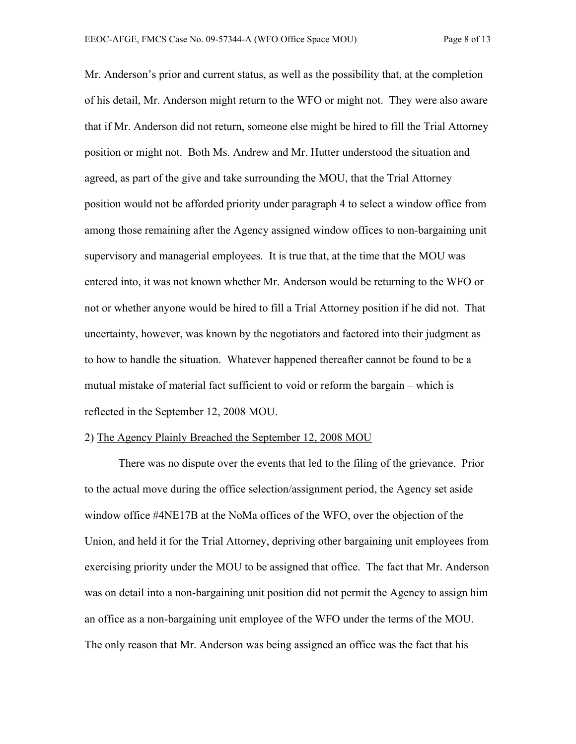Mr. Anderson's prior and current status, as well as the possibility that, at the completion of his detail, Mr. Anderson might return to the WFO or might not. They were also aware that if Mr. Anderson did not return, someone else might be hired to fill the Trial Attorney position or might not. Both Ms. Andrew and Mr. Hutter understood the situation and agreed, as part of the give and take surrounding the MOU, that the Trial Attorney position would not be afforded priority under paragraph 4 to select a window office from among those remaining after the Agency assigned window offices to non-bargaining unit supervisory and managerial employees. It is true that, at the time that the MOU was entered into, it was not known whether Mr. Anderson would be returning to the WFO or not or whether anyone would be hired to fill a Trial Attorney position if he did not. That uncertainty, however, was known by the negotiators and factored into their judgment as to how to handle the situation. Whatever happened thereafter cannot be found to be a mutual mistake of material fact sufficient to void or reform the bargain – which is reflected in the September 12, 2008 MOU.

#### 2) The Agency Plainly Breached the September 12, 2008 MOU

There was no dispute over the events that led to the filing of the grievance. Prior to the actual move during the office selection/assignment period, the Agency set aside window office #4NE17B at the NoMa offices of the WFO, over the objection of the Union, and held it for the Trial Attorney, depriving other bargaining unit employees from exercising priority under the MOU to be assigned that office. The fact that Mr. Anderson was on detail into a non-bargaining unit position did not permit the Agency to assign him an office as a non-bargaining unit employee of the WFO under the terms of the MOU. The only reason that Mr. Anderson was being assigned an office was the fact that his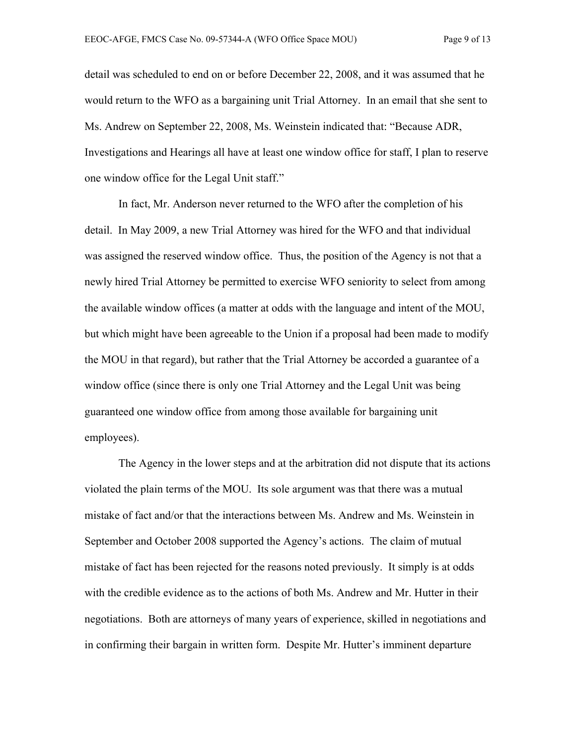detail was scheduled to end on or before December 22, 2008, and it was assumed that he would return to the WFO as a bargaining unit Trial Attorney. In an email that she sent to Ms. Andrew on September 22, 2008, Ms. Weinstein indicated that: "Because ADR, Investigations and Hearings all have at least one window office for staff, I plan to reserve one window office for the Legal Unit staff."

In fact, Mr. Anderson never returned to the WFO after the completion of his detail. In May 2009, a new Trial Attorney was hired for the WFO and that individual was assigned the reserved window office. Thus, the position of the Agency is not that a newly hired Trial Attorney be permitted to exercise WFO seniority to select from among the available window offices (a matter at odds with the language and intent of the MOU, but which might have been agreeable to the Union if a proposal had been made to modify the MOU in that regard), but rather that the Trial Attorney be accorded a guarantee of a window office (since there is only one Trial Attorney and the Legal Unit was being guaranteed one window office from among those available for bargaining unit employees).

The Agency in the lower steps and at the arbitration did not dispute that its actions violated the plain terms of the MOU. Its sole argument was that there was a mutual mistake of fact and/or that the interactions between Ms. Andrew and Ms. Weinstein in September and October 2008 supported the Agency's actions. The claim of mutual mistake of fact has been rejected for the reasons noted previously. It simply is at odds with the credible evidence as to the actions of both Ms. Andrew and Mr. Hutter in their negotiations. Both are attorneys of many years of experience, skilled in negotiations and in confirming their bargain in written form. Despite Mr. Hutter's imminent departure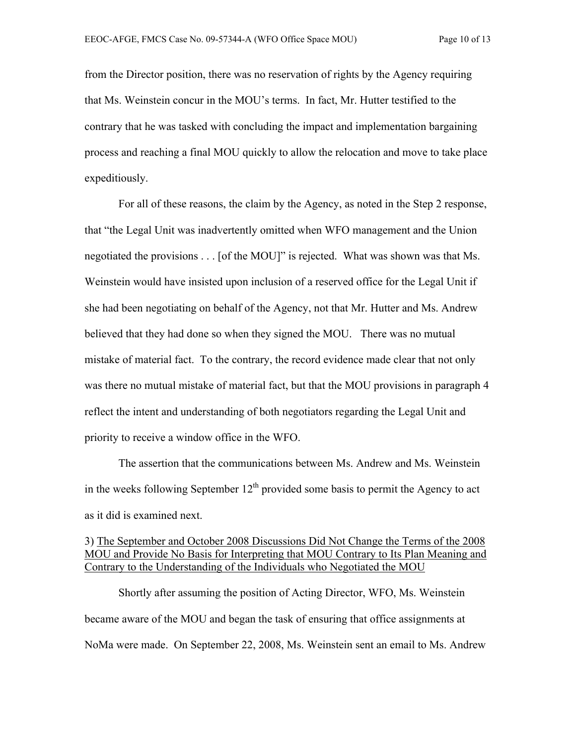from the Director position, there was no reservation of rights by the Agency requiring that Ms. Weinstein concur in the MOU's terms. In fact, Mr. Hutter testified to the contrary that he was tasked with concluding the impact and implementation bargaining process and reaching a final MOU quickly to allow the relocation and move to take place expeditiously.

For all of these reasons, the claim by the Agency, as noted in the Step 2 response, that "the Legal Unit was inadvertently omitted when WFO management and the Union negotiated the provisions . . . [of the MOU]" is rejected. What was shown was that Ms. Weinstein would have insisted upon inclusion of a reserved office for the Legal Unit if she had been negotiating on behalf of the Agency, not that Mr. Hutter and Ms. Andrew believed that they had done so when they signed the MOU. There was no mutual mistake of material fact. To the contrary, the record evidence made clear that not only was there no mutual mistake of material fact, but that the MOU provisions in paragraph 4 reflect the intent and understanding of both negotiators regarding the Legal Unit and priority to receive a window office in the WFO.

The assertion that the communications between Ms. Andrew and Ms. Weinstein in the weeks following September  $12<sup>th</sup>$  provided some basis to permit the Agency to act as it did is examined next.

# 3) The September and October 2008 Discussions Did Not Change the Terms of the 2008 MOU and Provide No Basis for Interpreting that MOU Contrary to Its Plan Meaning and Contrary to the Understanding of the Individuals who Negotiated the MOU

Shortly after assuming the position of Acting Director, WFO, Ms. Weinstein became aware of the MOU and began the task of ensuring that office assignments at NoMa were made. On September 22, 2008, Ms. Weinstein sent an email to Ms. Andrew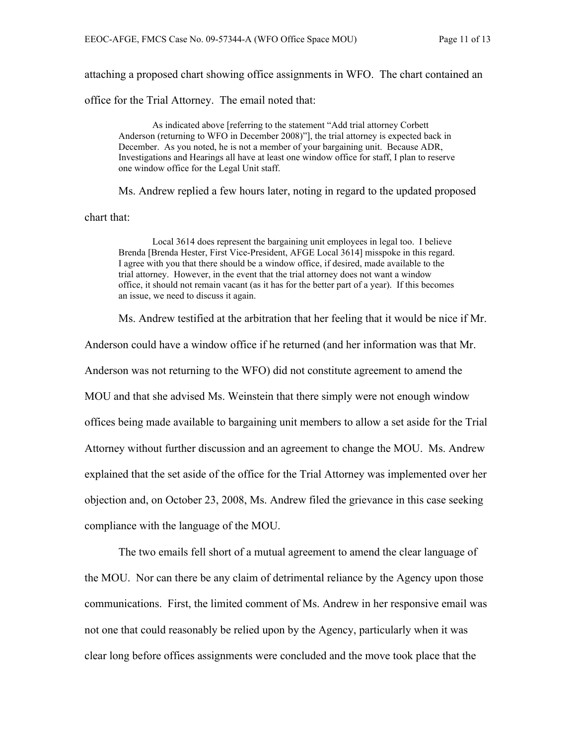attaching a proposed chart showing office assignments in WFO. The chart contained an

office for the Trial Attorney. The email noted that:

As indicated above [referring to the statement "Add trial attorney Corbett Anderson (returning to WFO in December 2008)"], the trial attorney is expected back in December. As you noted, he is not a member of your bargaining unit. Because ADR, Investigations and Hearings all have at least one window office for staff, I plan to reserve one window office for the Legal Unit staff.

Ms. Andrew replied a few hours later, noting in regard to the updated proposed chart that:

Local 3614 does represent the bargaining unit employees in legal too. I believe Brenda [Brenda Hester, First Vice-President, AFGE Local 3614] misspoke in this regard. I agree with you that there should be a window office, if desired, made available to the trial attorney. However, in the event that the trial attorney does not want a window office, it should not remain vacant (as it has for the better part of a year). If this becomes an issue, we need to discuss it again.

Ms. Andrew testified at the arbitration that her feeling that it would be nice if Mr.

Anderson could have a window office if he returned (and her information was that Mr. Anderson was not returning to the WFO) did not constitute agreement to amend the MOU and that she advised Ms. Weinstein that there simply were not enough window offices being made available to bargaining unit members to allow a set aside for the Trial Attorney without further discussion and an agreement to change the MOU. Ms. Andrew explained that the set aside of the office for the Trial Attorney was implemented over her objection and, on October 23, 2008, Ms. Andrew filed the grievance in this case seeking compliance with the language of the MOU.

The two emails fell short of a mutual agreement to amend the clear language of the MOU. Nor can there be any claim of detrimental reliance by the Agency upon those communications. First, the limited comment of Ms. Andrew in her responsive email was not one that could reasonably be relied upon by the Agency, particularly when it was clear long before offices assignments were concluded and the move took place that the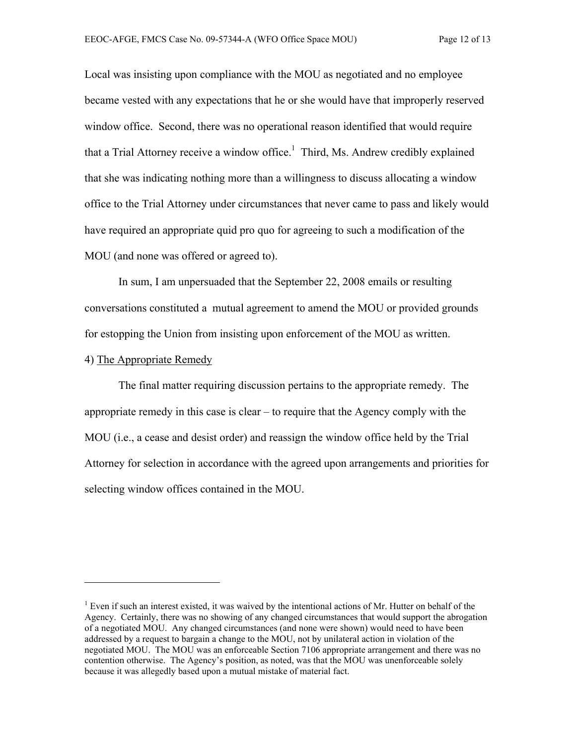Local was insisting upon compliance with the MOU as negotiated and no employee became vested with any expectations that he or she would have that improperly reserved window office. Second, there was no operational reason identified that would require that a Trial Attorney receive a window office.<sup>1</sup> Third, Ms. Andrew credibly explained that she was indicating nothing more than a willingness to discuss allocating a window office to the Trial Attorney under circumstances that never came to pass and likely would have required an appropriate quid pro quo for agreeing to such a modification of the MOU (and none was offered or agreed to).

In sum, I am unpersuaded that the September 22, 2008 emails or resulting conversations constituted a mutual agreement to amend the MOU or provided grounds for estopping the Union from insisting upon enforcement of the MOU as written.

### 4) The Appropriate Remedy

 $\overline{a}$ 

The final matter requiring discussion pertains to the appropriate remedy. The appropriate remedy in this case is clear – to require that the Agency comply with the MOU (i.e., a cease and desist order) and reassign the window office held by the Trial Attorney for selection in accordance with the agreed upon arrangements and priorities for selecting window offices contained in the MOU.

<sup>&</sup>lt;sup>1</sup> Even if such an interest existed, it was waived by the intentional actions of Mr. Hutter on behalf of the Agency. Certainly, there was no showing of any changed circumstances that would support the abrogation of a negotiated MOU. Any changed circumstances (and none were shown) would need to have been addressed by a request to bargain a change to the MOU, not by unilateral action in violation of the negotiated MOU. The MOU was an enforceable Section 7106 appropriate arrangement and there was no contention otherwise. The Agency's position, as noted, was that the MOU was unenforceable solely because it was allegedly based upon a mutual mistake of material fact.